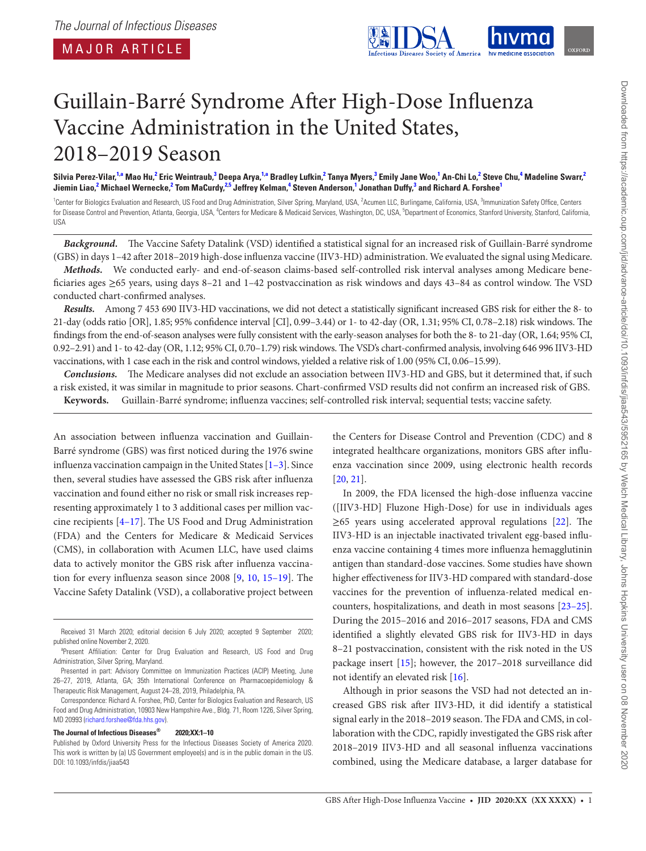<span id="page-0-5"></span><span id="page-0-3"></span><span id="page-0-2"></span>

# Guillain-Barré Syndrome After High-Dose Influenza Vaccine Administration in the United States, 2018–2019 Season

Silvia Perez-Vilar,<sup>[1,](#page-0-0)[a](#page-0-1)</sup> Mao Hu,<sup>[2](#page-0-2)</sup> Eric Weintraub,<sup>[3](#page-0-3)</sup> Deepa Arya,<sup>[1](#page-0-0)[,a](#page-0-1)</sup> Bradley Lufkin,<sup>2</sup> Tanya Myers,<sup>3</sup> Emily Jane Woo,<sup>1</sup> An-Chi Lo,<sup>2</sup> Steve Chu,<sup>[4](#page-0-4)</sup> Madeline Swarr,<sup>2</sup> Jiemin Liao,<sup>[2](#page-0-2)</sup> Michael Wernecke,<sup>2</sup> Tom MaCurdy,<sup>2.5</sup> Jeffrey Kelman,<sup>[4](#page-0-4)</sup> Steven Anderson,<sup>[1](#page-0-0)</sup> Jonathan Duffy,<sup>[3](#page-0-3)</sup> and Richard A. Forshee<sup>1</sup>

<span id="page-0-4"></span><span id="page-0-0"></span><sup>1</sup>Center for Biologics Evaluation and Research, US Food and Drug Administration, Silver Spring, Maryland, USA, <sup>2</sup> Acumen LLC, Burlingame, California, USA, <sup>3</sup> Immunization Safety Office, Centers for Disease Control and Prevention, Atlanta, Georgia, USA, <sup>4</sup>Centers for Medicare & Medicaid Services, Washington, DC, USA, <sup>5</sup>Department of Economics, Stanford University, Stanford, California, USA

*Background.* The Vaccine Safety Datalink (VSD) identified a statistical signal for an increased risk of Guillain-Barré syndrome (GBS) in days 1–42 after 2018–2019 high-dose influenza vaccine (IIV3-HD) administration. We evaluated the signal using Medicare.

*Methods.* We conducted early- and end-of-season claims-based self-controlled risk interval analyses among Medicare beneficiaries ages ≥65 years, using days 8–21 and 1–42 postvaccination as risk windows and days 43–84 as control window. The VSD conducted chart-confirmed analyses.

*Results.* Among 7 453 690 IIV3-HD vaccinations, we did not detect a statistically significant increased GBS risk for either the 8- to 21-day (odds ratio [OR], 1.85; 95% confidence interval [CI], 0.99–3.44) or 1- to 42-day (OR, 1.31; 95% CI, 0.78–2.18) risk windows. The findings from the end-of-season analyses were fully consistent with the early-season analyses for both the 8- to 21-day (OR, 1.64; 95% CI, 0.92–2.91) and 1- to 42-day (OR, 1.12; 95% CI, 0.70–1.79) risk windows. The VSD's chart-confirmed analysis, involving 646 996 IIV3-HD vaccinations, with 1 case each in the risk and control windows, yielded a relative risk of 1.00 (95% CI, 0.06–15.99).

*Conclusions.* The Medicare analyses did not exclude an association between IIV3-HD and GBS, but it determined that, if such a risk existed, it was similar in magnitude to prior seasons. Chart-confirmed VSD results did not confirm an increased risk of GBS. **Keywords.** Guillain-Barré syndrome; influenza vaccines; self-controlled risk interval; sequential tests; vaccine safety.

An association between influenza vaccination and Guillain-Barré syndrome (GBS) was first noticed during the 1976 swine influenza vaccination campaign in the United States [[1](#page-8-0)[–3\]](#page-8-1). Since then, several studies have assessed the GBS risk after influenza vaccination and found either no risk or small risk increases representing approximately 1 to 3 additional cases per million vaccine recipients [[4](#page-8-2)[–17](#page-8-3)]. The US Food and Drug Administration (FDA) and the Centers for Medicare & Medicaid Services (CMS), in collaboration with Acumen LLC, have used claims data to actively monitor the GBS risk after influenza vaccination for every influenza season since 2008 [[9](#page-8-4), [10,](#page-8-5) [15–](#page-8-6)[19\]](#page-8-7). The Vaccine Safety Datalink (VSD), a collaborative project between

#### **The Journal of Infectious Diseases® 2020;XX:1–10**

the Centers for Disease Control and Prevention (CDC) and 8 integrated healthcare organizations, monitors GBS after influenza vaccination since 2009, using electronic health records [\[20](#page-8-8), [21\]](#page-8-9).

In 2009, the FDA licensed the high-dose influenza vaccine ([IIV3-HD] Fluzone High-Dose) for use in individuals ages  $\geq$ 65 years using accelerated approval regulations [\[22](#page-9-0)]. The IIV3-HD is an injectable inactivated trivalent egg-based influenza vaccine containing 4 times more influenza hemagglutinin antigen than standard-dose vaccines. Some studies have shown higher effectiveness for IIV3-HD compared with standard-dose vaccines for the prevention of influenza-related medical encounters, hospitalizations, and death in most seasons [\[23](#page-9-1)[–25](#page-9-2)]. During the 2015–2016 and 2016–2017 seasons, FDA and CMS identified a slightly elevated GBS risk for IIV3-HD in days 8–21 postvaccination, consistent with the risk noted in the US package insert [\[15](#page-8-6)]; however, the 2017–2018 surveillance did not identify an elevated risk [[16\]](#page-8-10).

Although in prior seasons the VSD had not detected an increased GBS risk after IIV3-HD, it did identify a statistical signal early in the 2018–2019 season. The FDA and CMS, in collaboration with the CDC, rapidly investigated the GBS risk after 2018–2019 IIV3-HD and all seasonal influenza vaccinations combined, using the Medicare database, a larger database for

Received 31 March 2020; editorial decision 6 July 2020; accepted 9 September 2020; published online November 2, 2020.

<span id="page-0-1"></span><sup>&</sup>lt;sup>a</sup>Present Affiliation: Center for Drug Evaluation and Research, US Food and Drug Administration, Silver Spring, Maryland.

Presented in part: Advisory Committee on Immunization Practices (ACIP) Meeting, June 26–27, 2019, Atlanta, GA; 35th International Conference on Pharmacoepidemiology & Therapeutic Risk Management, August 24–28, 2019, Philadelphia, PA.

Correspondence: Richard A. Forshee, PhD, Center for Biologics Evaluation and Research, US Food and Drug Administration, 10903 New Hampshire Ave., Bldg. 71, Room 1226, Silver Spring, MD 20993 ([richard.forshee@fda.hhs.gov](mailto:richard.forshee@fda.hhs.gov?subject=)).

Published by Oxford University Press for the Infectious Diseases Society of America 2020. This work is written by (a) US Government employee(s) and is in the public domain in the US. DOI: 10.1093/infdis/jiaa543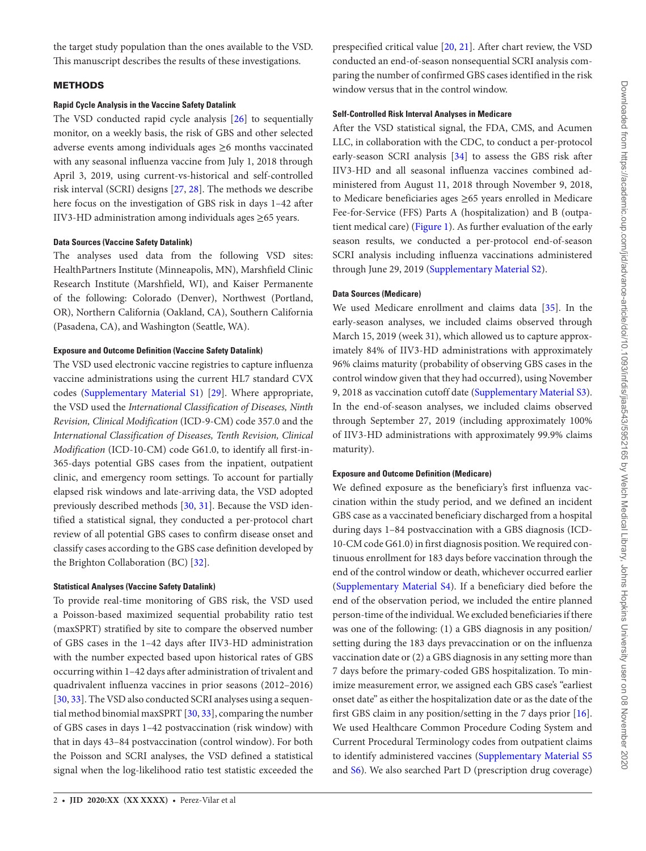the target study population than the ones available to the VSD. This manuscript describes the results of these investigations.

# METHODS

# **Rapid Cycle Analysis in the Vaccine Safety Datalink**

The VSD conducted rapid cycle analysis [\[26](#page-9-3)] to sequentially monitor, on a weekly basis, the risk of GBS and other selected adverse events among individuals ages ≥6 months vaccinated with any seasonal influenza vaccine from July 1, 2018 through April 3, 2019, using current-vs-historical and self-controlled risk interval (SCRI) designs [\[27](#page-9-4), [28\]](#page-9-5). The methods we describe here focus on the investigation of GBS risk in days 1–42 after IIV3-HD administration among individuals ages ≥65 years.

## **Data Sources (Vaccine Safety Datalink)**

The analyses used data from the following VSD sites: HealthPartners Institute (Minneapolis, MN), Marshfield Clinic Research Institute (Marshfield, WI), and Kaiser Permanente of the following: Colorado (Denver), Northwest (Portland, OR), Northern California (Oakland, CA), Southern California (Pasadena, CA), and Washington (Seattle, WA).

### **Exposure and Outcome Definition (Vaccine Safety Datalink)**

The VSD used electronic vaccine registries to capture influenza vaccine administrations using the current HL7 standard CVX codes ([Supplementary Material S1\)](http://academic.oup.com/jid/article-lookup/doi/10.1093/infdis/jiaa543#supplementary-data) [\[29](#page-9-6)]. Where appropriate, the VSD used the *International Classification of Diseases, Ninth Revision, Clinical Modification* (ICD-9-CM) code 357.0 and the *International Classification of Diseases, Tenth Revision, Clinical Modification* (ICD-10-CM) code G61.0, to identify all first-in-365-days potential GBS cases from the inpatient, outpatient clinic, and emergency room settings. To account for partially elapsed risk windows and late-arriving data, the VSD adopted previously described methods [\[30](#page-9-7), [31](#page-9-8)]. Because the VSD identified a statistical signal, they conducted a per-protocol chart review of all potential GBS cases to confirm disease onset and classify cases according to the GBS case definition developed by the Brighton Collaboration (BC) [\[32](#page-9-9)].

### **Statistical Analyses (Vaccine Safety Datalink)**

To provide real-time monitoring of GBS risk, the VSD used a Poisson-based maximized sequential probability ratio test (maxSPRT) stratified by site to compare the observed number of GBS cases in the 1–42 days after IIV3-HD administration with the number expected based upon historical rates of GBS occurring within 1–42 days after administration of trivalent and quadrivalent influenza vaccines in prior seasons (2012–2016) [\[30](#page-9-7), [33](#page-9-10)]. The VSD also conducted SCRI analyses using a sequential method binomial maxSPRT [\[30](#page-9-7), [33](#page-9-10)], comparing the number of GBS cases in days 1–42 postvaccination (risk window) with that in days 43–84 postvaccination (control window). For both the Poisson and SCRI analyses, the VSD defined a statistical signal when the log-likelihood ratio test statistic exceeded the

prespecified critical value [[20,](#page-8-8) [21\]](#page-8-9). After chart review, the VSD conducted an end-of-season nonsequential SCRI analysis comparing the number of confirmed GBS cases identified in the risk window versus that in the control window.

## **Self-Controlled Risk Interval Analyses in Medicare**

After the VSD statistical signal, the FDA, CMS, and Acumen LLC, in collaboration with the CDC, to conduct a per-protocol early-season SCRI analysis [\[34](#page-9-11)] to assess the GBS risk after IIV3-HD and all seasonal influenza vaccines combined administered from August 11, 2018 through November 9, 2018, to Medicare beneficiaries ages ≥65 years enrolled in Medicare Fee-for-Service (FFS) Parts A (hospitalization) and B (outpatient medical care) ([Figure 1\)](#page-2-0). As further evaluation of the early season results, we conducted a per-protocol end-of-season SCRI analysis including influenza vaccinations administered through June 29, 2019 [\(Supplementary Material S2](http://academic.oup.com/jid/article-lookup/doi/10.1093/infdis/jiaa543#supplementary-data)).

# **Data Sources (Medicare)**

We used Medicare enrollment and claims data [\[35\]](#page-9-12). In the early-season analyses, we included claims observed through March 15, 2019 (week 31), which allowed us to capture approximately 84% of IIV3-HD administrations with approximately 96% claims maturity (probability of observing GBS cases in the control window given that they had occurred), using November 9, 2018 as vaccination cutoff date ([Supplementary Material S3](http://academic.oup.com/jid/article-lookup/doi/10.1093/infdis/jiaa543#supplementary-data)). In the end-of-season analyses, we included claims observed through September 27, 2019 (including approximately 100% of IIV3-HD administrations with approximately 99.9% claims maturity).

## **Exposure and Outcome Definition (Medicare)**

We defined exposure as the beneficiary's first influenza vaccination within the study period, and we defined an incident GBS case as a vaccinated beneficiary discharged from a hospital during days 1–84 postvaccination with a GBS diagnosis (ICD-10-CM code G61.0) in first diagnosis position. We required continuous enrollment for 183 days before vaccination through the end of the control window or death, whichever occurred earlier [\(Supplementary Material S4](http://academic.oup.com/jid/article-lookup/doi/10.1093/infdis/jiaa543#supplementary-data)). If a beneficiary died before the end of the observation period, we included the entire planned person-time of the individual. We excluded beneficiaries if there was one of the following: (1) a GBS diagnosis in any position/ setting during the 183 days prevaccination or on the influenza vaccination date or (2) a GBS diagnosis in any setting more than 7 days before the primary-coded GBS hospitalization. To minimize measurement error, we assigned each GBS case's "earliest onset date" as either the hospitalization date or as the date of the first GBS claim in any position/setting in the 7 days prior [\[16](#page-8-10)]. We used Healthcare Common Procedure Coding System and Current Procedural Terminology codes from outpatient claims to identify administered vaccines [\(Supplementary Material S5](http://academic.oup.com/jid/article-lookup/doi/10.1093/infdis/jiaa543#supplementary-data) and [S6\)](http://academic.oup.com/jid/article-lookup/doi/10.1093/infdis/jiaa543#supplementary-data). We also searched Part D (prescription drug coverage)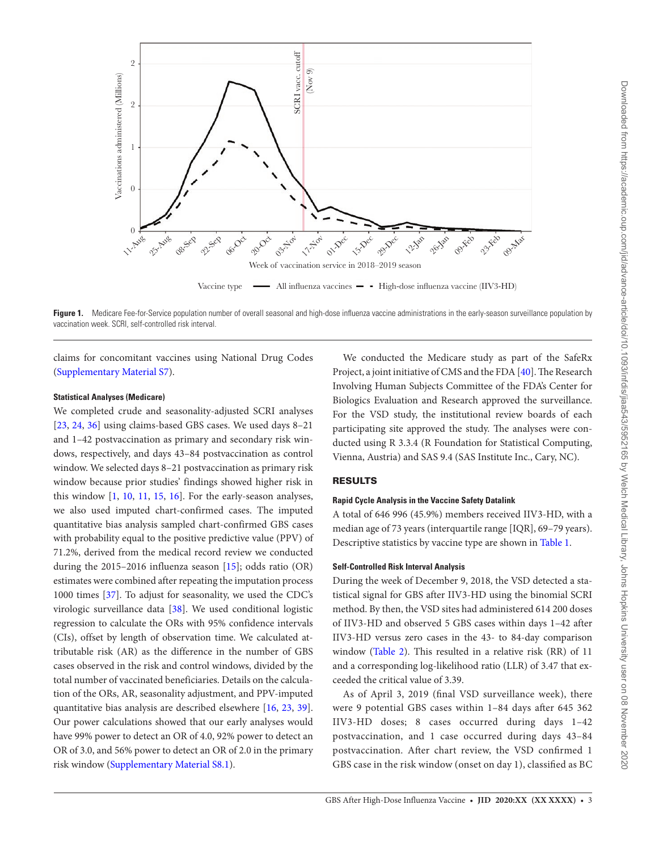

<span id="page-2-0"></span>Figure 1. Medicare Fee-for-Service population number of overall seasonal and high-dose influenza vaccine administrations in the early-season surveillance population by vaccination week. SCRI, self-controlled risk interval.

claims for concomitant vaccines using National Drug Codes [\(Supplementary Material S7](http://academic.oup.com/jid/article-lookup/doi/10.1093/infdis/jiaa543#supplementary-data)).

# **Statistical Analyses (Medicare)**

We completed crude and seasonality-adjusted SCRI analyses [\[23](#page-9-1), [24](#page-9-13), [36](#page-9-14)] using claims-based GBS cases. We used days 8-21 and 1–42 postvaccination as primary and secondary risk windows, respectively, and days 43–84 postvaccination as control window. We selected days 8–21 postvaccination as primary risk window because prior studies' findings showed higher risk in this window [[1,](#page-8-0) [10,](#page-8-5) [11](#page-8-11), [15](#page-8-6), [16\]](#page-8-10). For the early-season analyses, we also used imputed chart-confirmed cases. The imputed quantitative bias analysis sampled chart-confirmed GBS cases with probability equal to the positive predictive value (PPV) of 71.2%, derived from the medical record review we conducted during the 2015–2016 influenza season [\[15](#page-8-6)]; odds ratio (OR) estimates were combined after repeating the imputation process 1000 times [[37\]](#page-9-15). To adjust for seasonality, we used the CDC's virologic surveillance data [\[38](#page-9-16)]. We used conditional logistic regression to calculate the ORs with 95% confidence intervals (CIs), offset by length of observation time. We calculated attributable risk (AR) as the difference in the number of GBS cases observed in the risk and control windows, divided by the total number of vaccinated beneficiaries. Details on the calculation of the ORs, AR, seasonality adjustment, and PPV-imputed quantitative bias analysis are described elsewhere [[16](#page-8-10), [23](#page-9-1), [39\]](#page-9-17). Our power calculations showed that our early analyses would have 99% power to detect an OR of 4.0, 92% power to detect an OR of 3.0, and 56% power to detect an OR of 2.0 in the primary risk window [\(Supplementary Material S8.1\)](http://academic.oup.com/jid/article-lookup/doi/10.1093/infdis/jiaa543#supplementary-data).

We conducted the Medicare study as part of the SafeRx Project, a joint initiative of CMS and the FDA [[40](#page-9-18)]. The Research Involving Human Subjects Committee of the FDA's Center for Biologics Evaluation and Research approved the surveillance. For the VSD study, the institutional review boards of each participating site approved the study. The analyses were conducted using R 3.3.4 (R Foundation for Statistical Computing, Vienna, Austria) and SAS 9.4 (SAS Institute Inc., Cary, NC).

# RESULTS

#### **Rapid Cycle Analysis in the Vaccine Safety Datalink**

A total of 646 996 (45.9%) members received IIV3-HD, with a median age of 73 years (interquartile range [IQR], 69–79 years). Descriptive statistics by vaccine type are shown in [Table 1.](#page-3-0)

# **Self-Controlled Risk Interval Analysis**

During the week of December 9, 2018, the VSD detected a statistical signal for GBS after IIV3-HD using the binomial SCRI method. By then, the VSD sites had administered 614 200 doses of IIV3-HD and observed 5 GBS cases within days 1–42 after IIV3-HD versus zero cases in the 43- to 84-day comparison window (Table 2). This resulted in a relative risk (RR) of 11 and a corresponding log-likelihood ratio (LLR) of 3.47 that exceeded the critical value of 3.39.

As of April 3, 2019 (final VSD surveillance week), there were 9 potential GBS cases within 1–84 days after 645 362 IIV3-HD doses; 8 cases occurred during days 1–42 postvaccination, and 1 case occurred during days 43–84 postvaccination. After chart review, the VSD confirmed 1 GBS case in the risk window (onset on day 1), classified as BC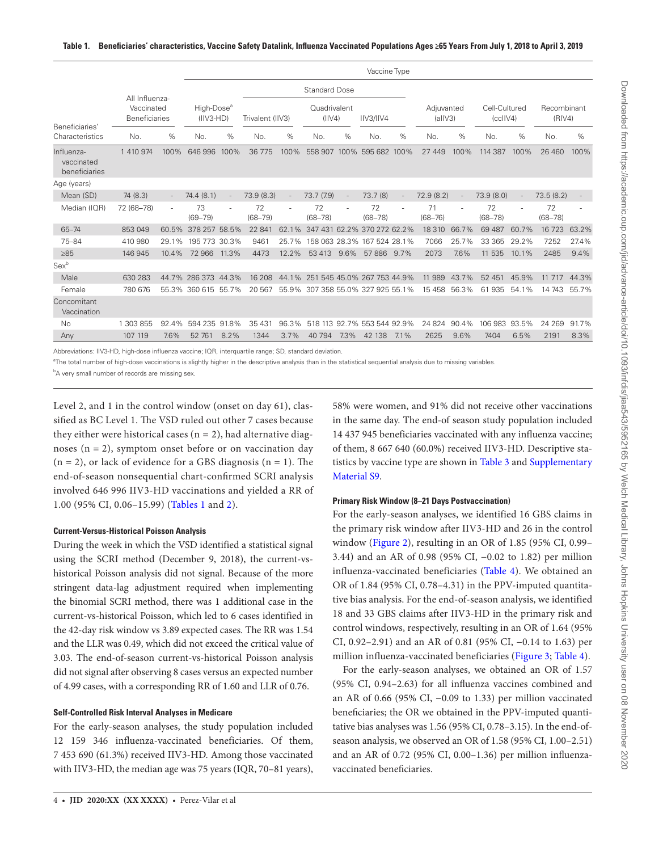<span id="page-3-0"></span>

|                                           |                                                      |        | Vaccine Type                          |       |                   |       |                             |      |                             |         |                       |       |                           |       |                       |       |
|-------------------------------------------|------------------------------------------------------|--------|---------------------------------------|-------|-------------------|-------|-----------------------------|------|-----------------------------|---------|-----------------------|-------|---------------------------|-------|-----------------------|-------|
|                                           |                                                      |        |                                       |       |                   |       | <b>Standard Dose</b>        |      |                             |         |                       |       |                           |       |                       |       |
| Beneficiaries'                            | All Influenza-<br>Vaccinated<br><b>Beneficiaries</b> |        | High-Dose <sup>a</sup><br>$(IIV3-HD)$ |       | Trivalent (IIV3)  |       | Quadrivalent<br>$(II\vee4)$ |      | IIV3/IIV4                   |         | Adjuvanted<br>(alIV3) |       | Cell-Cultured<br>(cclIV4) |       | Recombinant<br>(RIV4) |       |
| Characteristics                           | No.                                                  | %      | No.                                   | $\%$  | No.               | %     | No.                         | %    | No.                         | $\%$    | No.                   | %     | No.                       | %     | No.                   | %     |
| Influenza-<br>vaccinated<br>beneficiaries | 1 410 974                                            | 100%   | 646 996                               | 100%  | 36 775            | 100%  | 558 907                     |      | 100% 595 682                | 100%    | 27 449                | 100%  | 114 387                   | 100%  | 26 460                | 100%  |
| Age (years)                               |                                                      |        |                                       |       |                   |       |                             |      |                             |         |                       |       |                           |       |                       |       |
| Mean (SD)                                 | 74 (8.3)                                             |        | 74.4(8.1)                             |       | 73.9 (8.3)        |       | 73.7 (7.9)                  |      | 73.7(8)                     |         | 72.9 (8.2)            |       | 73.9(8.0)                 |       | 73.5(8.2)             |       |
| Median (IQR)                              | 72 (68-78)                                           | $\sim$ | 73<br>$(69 - 79)$                     |       | 72<br>$(68 - 79)$ |       | 72<br>$(68 - 78)$           |      | 72<br>$(68 - 78)$           |         | 71<br>$(68 - 76)$     |       | 72<br>$(68 - 78)$         |       | 72<br>$(68 - 78)$     |       |
| $65 - 74$                                 | 853 049                                              | 60.5%  | 378 257 58.5%                         |       | 22 841            | 62.1% | 347 431 62.2% 370 272 62.2% |      |                             |         | 18 3 10               | 66.7% | 69 487                    | 60.7% | 16 723                | 63.2% |
| 75-84                                     | 410 980                                              | 29.1%  | 195 773 30.3%                         |       | 9461              | 25.7% |                             |      | 158 063 28.3% 167 524 28.1% |         | 7066                  | 25.7% | 33 365                    | 29.2% | 7252                  | 27.4% |
| $\geq 85$                                 | 146 945                                              | 10.4%  | 72966                                 | 11.3% | 4473              | 12.2% | 53 413                      | 9.6% | 57886                       | $9.7\%$ | 2073                  | 7.6%  | 11 535                    | 10.1% | 2485                  | 9.4%  |
| Sexb                                      |                                                      |        |                                       |       |                   |       |                             |      |                             |         |                       |       |                           |       |                       |       |
| Male                                      | 630 283                                              |        | 44.7% 286.373                         | 44.3% | 16 208            | 44.1% | 251 545 45.0% 267 753 44.9% |      |                             |         | 11 989                | 43.7% | 52 451                    | 45.9% | 11 7 17               | 44.3% |
| Female                                    | 780 676                                              |        | 55.3% 360 615 55.7%                   |       | 20 567            | 55.9% | 307 358 55.0% 327 925 55.1% |      |                             |         | 15 4 58               | 56.3% | 61 935                    | 54.1% | 14 743                | 55.7% |
| Concomitant<br>Vaccination                |                                                      |        |                                       |       |                   |       |                             |      |                             |         |                       |       |                           |       |                       |       |
| <b>No</b>                                 | 1 303 855                                            | 92.4%  | 594 235 91.8%                         |       | 35 4 31           | 96.3% |                             |      | 518 113 92.7% 553 544 92.9% |         | 24 824                | 90.4% | 106 983                   | 93.5% | 24 2 69               | 91.7% |
| Any                                       | 107 119                                              | 7.6%   | 52 761                                | 8.2%  | 1344              | 3.7%  | 40 794                      | 7.3% | 42 138                      | 7.1%    | 2625                  | 9.6%  | 7404                      | 6.5%  | 2191                  | 8.3%  |

Abbreviations: IIV3-HD, high-dose influenza vaccine; IQR, interquartile range; SD, standard deviation.

<sup>a</sup>The total number of high-dose vaccinations is slightly higher in the descriptive analysis than in the statistical sequential analysis due to missing variables.

<sup>b</sup>A very small number of records are missing sex.

Level 2, and 1 in the control window (onset on day 61), classified as BC Level 1. The VSD ruled out other 7 cases because they either were historical cases  $(n = 2)$ , had alternative diagnoses  $(n = 2)$ , symptom onset before or on vaccination day  $(n = 2)$ , or lack of evidence for a GBS diagnosis  $(n = 1)$ . The end-of-season nonsequential chart-confirmed SCRI analysis involved 646 996 IIV3-HD vaccinations and yielded a RR of 1.00 (95% CI, 0.06–15.99) [\(Tables 1](#page-3-0) and [2](#page-4-0)).

## **Current-Versus-Historical Poisson Analysis**

During the week in which the VSD identified a statistical signal using the SCRI method (December 9, 2018), the current-vshistorical Poisson analysis did not signal. Because of the more stringent data-lag adjustment required when implementing the binomial SCRI method, there was 1 additional case in the current-vs-historical Poisson, which led to 6 cases identified in the 42-day risk window vs 3.89 expected cases. The RR was 1.54 and the LLR was 0.49, which did not exceed the critical value of 3.03. The end-of-season current-vs-historical Poisson analysis did not signal after observing 8 cases versus an expected number of 4.99 cases, with a corresponding RR of 1.60 and LLR of 0.76.

#### **Self-Controlled Risk Interval Analyses in Medicare**

For the early-season analyses, the study population included 12 159 346 influenza-vaccinated beneficiaries. Of them, 7 453 690 (61.3%) received IIV3-HD. Among those vaccinated with IIV3-HD, the median age was 75 years (IQR, 70–81 years), 58% were women, and 91% did not receive other vaccinations in the same day. The end-of season study population included 14 437 945 beneficiaries vaccinated with any influenza vaccine; of them, 8 667 640 (60.0%) received IIV3-HD. Descriptive statistics by vaccine type are shown in [Table 3](#page-4-1) and [Supplementary](http://academic.oup.com/jid/article-lookup/doi/10.1093/infdis/jiaa543#supplementary-data)  [Material S9](http://academic.oup.com/jid/article-lookup/doi/10.1093/infdis/jiaa543#supplementary-data).

#### **Primary Risk Window (8–21 Days Postvaccination)**

For the early-season analyses, we identified 16 GBS claims in the primary risk window after IIV3-HD and 26 in the control window ([Figure 2](#page-5-0)), resulting in an OR of 1.85 (95% CI, 0.99– 3.44) and an AR of 0.98 (95% CI, −0.02 to 1.82) per million influenza-vaccinated beneficiaries [\(Table 4\)](#page-6-0). We obtained an OR of 1.84 (95% CI, 0.78–4.31) in the PPV-imputed quantitative bias analysis. For the end-of-season analysis, we identified 18 and 33 GBS claims after IIV3-HD in the primary risk and control windows, respectively, resulting in an OR of 1.64 (95% CI, 0.92–2.91) and an AR of 0.81 (95% CI, −0.14 to 1.63) per million influenza-vaccinated beneficiaries ([Figure 3;](#page-7-0) [Table 4\)](#page-6-0).

For the early-season analyses, we obtained an OR of 1.57 (95% CI, 0.94–2.63) for all influenza vaccines combined and an AR of 0.66 (95% CI, −0.09 to 1.33) per million vaccinated beneficiaries; the OR we obtained in the PPV-imputed quantitative bias analyses was 1.56 (95% CI, 0.78–3.15). In the end-ofseason analysis, we observed an OR of 1.58 (95% CI, 1.00–2.51) and an AR of 0.72 (95% CI, 0.00–1.36) per million influenzavaccinated beneficiaries.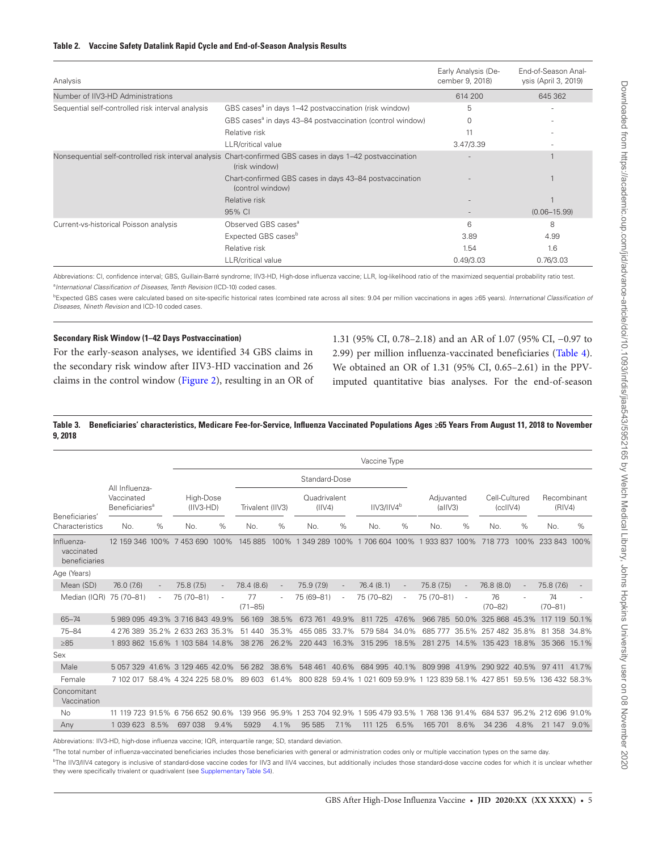### <span id="page-4-0"></span>**Table 2. Vaccine Safety Datalink Rapid Cycle and End-of-Season Analysis Results**

| Analysis                                          |                                                                                                                              | Early Analysis (De-<br>cember 9, 2018) | End-of-Season Anal-<br>ysis (April 3, 2019) |
|---------------------------------------------------|------------------------------------------------------------------------------------------------------------------------------|----------------------------------------|---------------------------------------------|
| Number of IIV3-HD Administrations                 |                                                                                                                              | 614 200                                | 645 362                                     |
| Sequential self-controlled risk interval analysis | GBS cases <sup>®</sup> in days 1–42 postvaccination (risk window)                                                            | 5                                      |                                             |
|                                                   | GBS cases <sup>a</sup> in days 43–84 postvaccination (control window)                                                        | 0                                      | ۰                                           |
|                                                   | Relative risk                                                                                                                | 11                                     |                                             |
|                                                   | LLR/critical value                                                                                                           | 3.47/3.39                              | ۰                                           |
|                                                   | Nonsequential self-controlled risk interval analysis Chart-confirmed GBS cases in days 1-42 postvaccination<br>(risk window) |                                        |                                             |
|                                                   | Chart-confirmed GBS cases in days 43-84 postvaccination<br>(control window)                                                  |                                        |                                             |
|                                                   | Relative risk                                                                                                                |                                        |                                             |
|                                                   | 95% CI                                                                                                                       |                                        | $(0.06 - 15.99)$                            |
| Current-vs-historical Poisson analysis            | Observed GBS cases <sup>a</sup>                                                                                              | 6                                      | 8                                           |
|                                                   | Expected GBS cases <sup>b</sup>                                                                                              | 3.89                                   | 4.99                                        |
|                                                   | Relative risk                                                                                                                | 1.54                                   | 1.6                                         |
|                                                   | <b>LLR/critical value</b>                                                                                                    | 0.49/3.03                              | 0.76/3.03                                   |

Abbreviations: CI, confidence interval; GBS, Guillain-Barré syndrome; IIV3-HD, High-dose influenza vaccine; LLR, log-likelihood ratio of the maximized sequential probability ratio test. a *International Classification of Diseases, Tenth Revision* (ICD-10) coded cases.

b Expected GBS cases were calculated based on site-specific historical rates (combined rate across all sites: 9.04 per million vaccinations in ages ≥65 years). *International Classification of Diseases, Nineth Revision* and ICD-10 coded cases.

## **Secondary Risk Window (1–42 Days Postvaccination)**

For the early-season analyses, we identified 34 GBS claims in the secondary risk window after IIV3-HD vaccination and 26 claims in the control window [\(Figure 2\)](#page-5-0), resulting in an OR of

1.31 (95% CI, 0.78–2.18) and an AR of 1.07 (95% CI, −0.97 to 2.99) per million influenza-vaccinated beneficiaries [\(Table 4](#page-6-0)). We obtained an OR of 1.31 (95% CI, 0.65–2.61) in the PPVimputed quantitative bias analyses. For the end-of-season

# <span id="page-4-1"></span>**Table 3. Beneficiaries' characteristics, Medicare Fee-for-Service, Influenza Vaccinated Populations Ages ≥65 Years From August 11, 2018 to November 9, 2018**

|                                           |                                                            |   |                                  |               |                   |       |                         |        | Vaccine Type           |       |                                             |                          |                             |      |                       |         |
|-------------------------------------------|------------------------------------------------------------|---|----------------------------------|---------------|-------------------|-------|-------------------------|--------|------------------------|-------|---------------------------------------------|--------------------------|-----------------------------|------|-----------------------|---------|
|                                           | All Influenza-<br>Vaccinated<br>Beneficiaries <sup>a</sup> |   |                                  | Standard-Dose |                   |       |                         |        |                        |       |                                             |                          |                             |      |                       |         |
|                                           |                                                            |   | High-Dose<br>$(IIV3-HD)$         |               | Trivalent (IIV3)  |       | Quadrivalent<br>(IIV4)  |        | IIV3/IIV4 <sup>b</sup> |       | Adiuvanted<br>(alIV3)                       |                          | Cell-Cultured<br>(cclIV4)   |      | Recombinant<br>(RIV4) |         |
| Beneficiaries'<br>Characteristics         | No.                                                        | % | No.                              | $\%$          | No.               | $\%$  | No.                     | $\%$   | No.                    | $\%$  | No.                                         | %                        | No.                         | %    | No.                   | $\%$    |
| Influenza-<br>vaccinated<br>beneficiaries |                                                            |   | 12 159 346 100% 7 453 690        | 100%          | 145 885           | 100%  | 349 289<br>$\mathbf{1}$ | 100%   | 1 706 604 100%         |       | 933 837 100%<br>$\mathbf{1}$                |                          | 718 773                     | 100% | 233 843               | 100%    |
| Age (Years)                               |                                                            |   |                                  |               |                   |       |                         |        |                        |       |                                             |                          |                             |      |                       |         |
| Mean (SD)                                 | 76.0 (7.6)                                                 |   | 75.8 (7.5)                       |               | 78.4 (8.6)        |       | 75.9 (7.9)              |        | 76.4(8.1)              |       | 75.8(7.5)                                   | $\overline{\phantom{a}}$ | 76.8 (8.0)                  |      | 75.8 (7.6)            |         |
| Median (IQR) 75 (70-81)                   |                                                            |   | 75 (70-81)                       |               | 77<br>$(71 - 85)$ |       | 75 (69-81)              | $\sim$ | 75 (70-82)             |       | 75 (70-81)                                  | $\sim$                   | 76<br>$(70 - 82)$           |      | 74<br>$(70 - 81)$     |         |
| $65 - 74$                                 |                                                            |   | 598909549.3%371684349.9%         |               | 56 169            | 38.5% | 673 761                 | 49.9%  | 811 725                | 47.6% | 966 785                                     | 50.0%                    | 325 868 45.3%               |      | 117 119               | 50.1%   |
| $75 - 84$                                 |                                                            |   | 4 276 389 35.2% 2 633 263 35.3%  |               | 51 440            | 35.3% | 455 085                 | 33.7%  | 579 584                | 34.0% | 685 777                                     |                          | 35.5% 257 482 35.8%         |      | 81 358 34.8%          |         |
| $\geq 85$                                 |                                                            |   | 1893862 15.6% 1 103 584 14.8%    |               | 38 276            | 26.2% | 220 443 16.3%           |        | 315 295                | 18.5% |                                             |                          | 281 275 14.5% 135 423 18.8% |      | 35 366                | 15.1%   |
| Sex                                       |                                                            |   |                                  |               |                   |       |                         |        |                        |       |                                             |                          |                             |      |                       |         |
| Male                                      |                                                            |   | 5 057 329 41.6% 3 129 465 42.0%  |               | 56 282            | 38.6% | 548 461 40.6%           |        | 684 995 40.1%          |       | 809 998 41.9% 290 922 40.5%                 |                          |                             |      | 97 411                | 41.7%   |
| Female                                    |                                                            |   | 7 102 017 58.4% 4 324 225 58.0%  |               | 89 603            | 61.4% | 800828                  | 59.4%  | 1 021 609 59.9%        |       | 1 123 839 58.1% 427 851 59.5% 136 432 58.3% |                          |                             |      |                       |         |
| Concomitant<br>Vaccination                |                                                            |   |                                  |               |                   |       |                         |        |                        |       |                                             |                          |                             |      |                       |         |
| No                                        |                                                            |   | 11 119 723 91.5% 6 756 652 90.6% |               | 139 956 95.9%     |       | 1 253 704 92.9%         |        | 1 595 479 93.5%        |       | 1768 136 91.4% 684 537 95.2% 212 696 91.0%  |                          |                             |      |                       |         |
| Anv                                       | 1 039 623 8.5%                                             |   | 697 038                          | 9.4%          | 5929              | 4.1%  | 95 585                  | 7.1%   | 111 125                | 6.5%  | 165 701                                     | 8.6%                     | 34 236                      | 4.8% | 21 147                | $9.0\%$ |

Abbreviations: IIV3-HD, high-dose influenza vaccine; IQR, interquartile range; SD, standard deviation.

<sup>a</sup>The total number of influenza-vaccinated beneficiaries includes those beneficiaries with general or administration codes only or multiple vaccination types on the same day.

<sup>b</sup>The IIV3/IIV4 category is inclusive of standard-dose vaccine codes for IIV3 and IIV4 vaccines, but additionally includes those standard-dose vaccine codes for which it is unclear whether they were specifically trivalent or quadrivalent (see [Supplementary Table S4\)](http://academic.oup.com/jid/article-lookup/doi/10.1093/infdis/jiaa543#supplementary-data).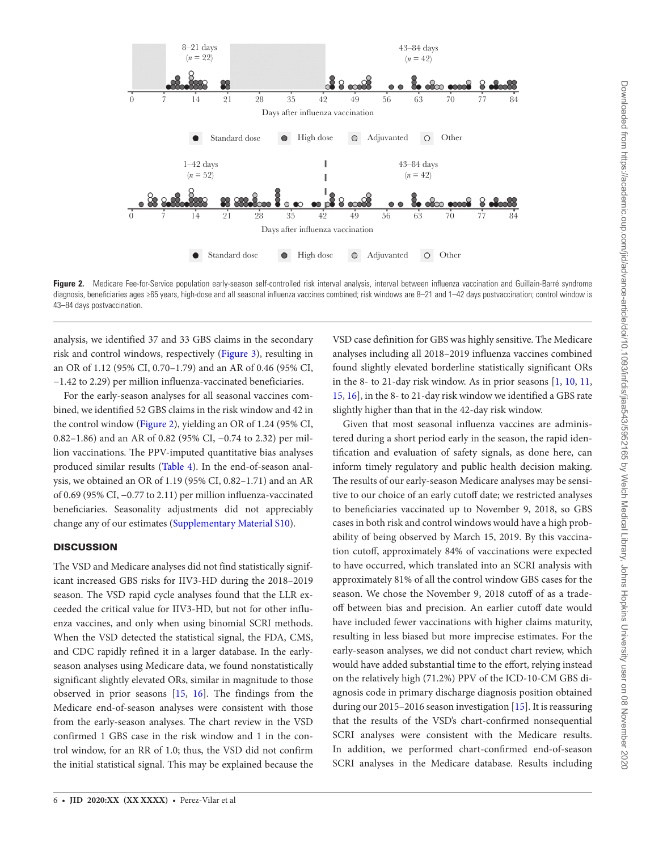

<span id="page-5-0"></span>Figure 2. Medicare Fee-for-Service population early-season self-controlled risk interval analysis, interval between influenza vaccination and Guillain-Barré syndrome diagnosis, beneficiaries ages ≥65 years, high-dose and all seasonal influenza vaccines combined; risk windows are 8–21 and 1–42 days postvaccination; control window is 43–84 days postvaccination.

analysis, we identified 37 and 33 GBS claims in the secondary risk and control windows, respectively ([Figure 3\)](#page-7-0), resulting in an OR of 1.12 (95% CI, 0.70–1.79) and an AR of 0.46 (95% CI, −1.42 to 2.29) per million influenza-vaccinated beneficiaries.

For the early-season analyses for all seasonal vaccines combined, we identified 52 GBS claims in the risk window and 42 in the control window ([Figure 2\)](#page-5-0), yielding an OR of 1.24 (95% CI, 0.82–1.86) and an AR of 0.82 (95% CI, −0.74 to 2.32) per million vaccinations. The PPV-imputed quantitative bias analyses produced similar results ([Table 4\)](#page-6-0). In the end-of-season analysis, we obtained an OR of 1.19 (95% CI, 0.82–1.71) and an AR of 0.69 (95% CI, −0.77 to 2.11) per million influenza-vaccinated beneficiaries. Seasonality adjustments did not appreciably change any of our estimates [\(Supplementary Material S10\)](http://academic.oup.com/jid/article-lookup/doi/10.1093/infdis/jiaa543#supplementary-data).

# **DISCUSSION**

The VSD and Medicare analyses did not find statistically significant increased GBS risks for IIV3-HD during the 2018–2019 season. The VSD rapid cycle analyses found that the LLR exceeded the critical value for IIV3-HD, but not for other influenza vaccines, and only when using binomial SCRI methods. When the VSD detected the statistical signal, the FDA, CMS, and CDC rapidly refined it in a larger database. In the earlyseason analyses using Medicare data, we found nonstatistically significant slightly elevated ORs, similar in magnitude to those observed in prior seasons [\[15,](#page-8-6) [16\]](#page-8-10). The findings from the Medicare end-of-season analyses were consistent with those from the early-season analyses. The chart review in the VSD confirmed 1 GBS case in the risk window and 1 in the control window, for an RR of 1.0; thus, the VSD did not confirm the initial statistical signal. This may be explained because the

VSD case definition for GBS was highly sensitive. The Medicare analyses including all 2018–2019 influenza vaccines combined found slightly elevated borderline statistically significant ORs in the 8- to 21-day risk window. As in prior seasons [\[1](#page-8-0), [10,](#page-8-5) [11,](#page-8-11) [15](#page-8-6), [16](#page-8-10)], in the 8- to 21-day risk window we identified a GBS rate slightly higher than that in the 42-day risk window.

Given that most seasonal influenza vaccines are administered during a short period early in the season, the rapid identification and evaluation of safety signals, as done here, can inform timely regulatory and public health decision making. The results of our early-season Medicare analyses may be sensitive to our choice of an early cutoff date; we restricted analyses to beneficiaries vaccinated up to November 9, 2018, so GBS cases in both risk and control windows would have a high probability of being observed by March 15, 2019. By this vaccination cutoff, approximately 84% of vaccinations were expected to have occurred, which translated into an SCRI analysis with approximately 81% of all the control window GBS cases for the season. We chose the November 9, 2018 cutoff of as a tradeoff between bias and precision. An earlier cutoff date would have included fewer vaccinations with higher claims maturity, resulting in less biased but more imprecise estimates. For the early-season analyses, we did not conduct chart review, which would have added substantial time to the effort, relying instead on the relatively high (71.2%) PPV of the ICD-10-CM GBS diagnosis code in primary discharge diagnosis position obtained during our 2015–2016 season investigation [[15\]](#page-8-6). It is reassuring that the results of the VSD's chart-confirmed nonsequential SCRI analyses were consistent with the Medicare results. In addition, we performed chart-confirmed end-of-season SCRI analyses in the Medicare database. Results including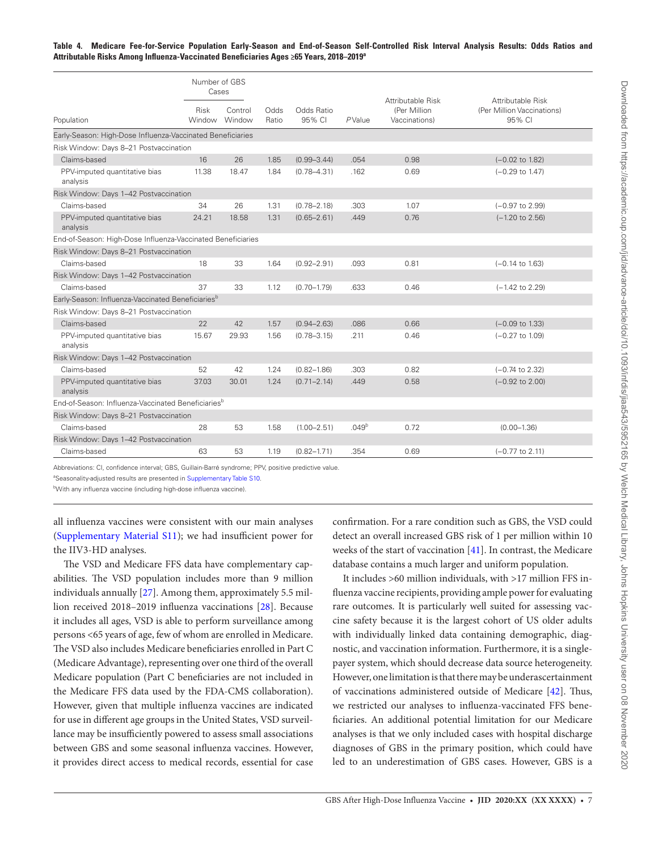<span id="page-6-0"></span>

|                                                                | Number of GBS<br>Cases |                   |               |                      |                   |                                                     | Attributable Risk                    |  |  |
|----------------------------------------------------------------|------------------------|-------------------|---------------|----------------------|-------------------|-----------------------------------------------------|--------------------------------------|--|--|
| Population                                                     | Risk<br>Window         | Control<br>Window | Odds<br>Ratio | Odds Ratio<br>95% CI | PValue            | Attributable Risk<br>(Per Million)<br>Vaccinations) | (Per Million Vaccinations)<br>95% CI |  |  |
| Early-Season: High-Dose Influenza-Vaccinated Beneficiaries     |                        |                   |               |                      |                   |                                                     |                                      |  |  |
| Risk Window: Days 8-21 Postvaccination                         |                        |                   |               |                      |                   |                                                     |                                      |  |  |
| Claims-based                                                   | 16                     | 26                | 1.85          | $(0.99 - 3.44)$      | .054              | 0.98                                                | $(-0.02 \text{ to } 1.82)$           |  |  |
| PPV-imputed quantitative bias<br>analysis                      | 11.38                  | 18.47             | 1.84          | $(0.78 - 4.31)$      | .162              | 0.69                                                | $(-0.29$ to $1.47)$                  |  |  |
| Risk Window: Days 1-42 Postvaccination                         |                        |                   |               |                      |                   |                                                     |                                      |  |  |
| Claims-based                                                   | 34                     | 26                | 1.31          | $(0.78 - 2.18)$      | .303              | 1.07                                                | $(-0.97$ to 2.99)                    |  |  |
| PPV-imputed quantitative bias<br>analysis                      | 24.21                  | 18.58             | 1.31          | $(0.65 - 2.61)$      | .449              | 0.76                                                | $(-1.20 \text{ to } 2.56)$           |  |  |
| End-of-Season: High-Dose Influenza-Vaccinated Beneficiaries    |                        |                   |               |                      |                   |                                                     |                                      |  |  |
| Risk Window: Days 8-21 Postvaccination                         |                        |                   |               |                      |                   |                                                     |                                      |  |  |
| Claims-based                                                   | 18                     | 33                | 1.64          | $(0.92 - 2.91)$      | .093              | 0.81                                                | $(-0.14 \text{ to } 1.63)$           |  |  |
| Risk Window: Days 1-42 Postvaccination                         |                        |                   |               |                      |                   |                                                     |                                      |  |  |
| Claims-based                                                   | 37                     | 33                | 1.12          | $(0.70 - 1.79)$      | .633              | 0.46                                                | $(-1.42$ to 2.29)                    |  |  |
| Early-Season: Influenza-Vaccinated Beneficiaries <sup>b</sup>  |                        |                   |               |                      |                   |                                                     |                                      |  |  |
| Risk Window: Days 8-21 Postvaccination                         |                        |                   |               |                      |                   |                                                     |                                      |  |  |
| Claims-based                                                   | 22                     | 42                | 1.57          | $(0.94 - 2.63)$      | .086              | 0.66                                                | $(-0.09 \text{ to } 1.33)$           |  |  |
| PPV-imputed quantitative bias<br>analysis                      | 15.67                  | 29.93             | 1.56          | $(0.78 - 3.15)$      | .211              | 0.46                                                | $(-0.27$ to $1.09)$                  |  |  |
| Risk Window: Days 1-42 Postvaccination                         |                        |                   |               |                      |                   |                                                     |                                      |  |  |
| Claims-based                                                   | 52                     | 42                | 1.24          | $(0.82 - 1.86)$      | .303              | 0.82                                                | $(-0.74 \text{ to } 2.32)$           |  |  |
| PPV-imputed quantitative bias<br>analysis                      | 37.03                  | 30.01             | 1.24          | $(0.71 - 2.14)$      | .449              | 0.58                                                | $(-0.92 \text{ to } 2.00)$           |  |  |
| End-of-Season: Influenza-Vaccinated Beneficiaries <sup>b</sup> |                        |                   |               |                      |                   |                                                     |                                      |  |  |
| Risk Window: Days 8-21 Postvaccination                         |                        |                   |               |                      |                   |                                                     |                                      |  |  |
| Claims-based                                                   | 28                     | 53                | 1.58          | $(1.00 - 2.51)$      | .049 <sup>b</sup> | 0.72                                                | $(0.00 - 1.36)$                      |  |  |
| Risk Window: Days 1-42 Postvaccination                         |                        |                   |               |                      |                   |                                                     |                                      |  |  |
| Claims-based                                                   | 63                     | 53                | 1.19          | $(0.82 - 1.71)$      | .354              | 0.69                                                | $(-0.77$ to 2.11)                    |  |  |

Abbreviations: CI, confidence interval; GBS, Guillain-Barré syndrome; PPV, positive predictive value.

aSeasonality-adjusted results are presented in [Supplementary Table S10](http://academic.oup.com/jid/article-lookup/doi/10.1093/infdis/jiaa543#supplementary-data).

bWith any influenza vaccine (including high-dose influenza vaccine).

all influenza vaccines were consistent with our main analyses [\(Supplementary Material S11](http://academic.oup.com/jid/article-lookup/doi/10.1093/infdis/jiaa543#supplementary-data)); we had insufficient power for the IIV3-HD analyses.

The VSD and Medicare FFS data have complementary capabilities. The VSD population includes more than 9 million individuals annually [\[27](#page-9-4)]. Among them, approximately 5.5 million received 2018–2019 influenza vaccinations [[28\]](#page-9-5). Because it includes all ages, VSD is able to perform surveillance among persons <65 years of age, few of whom are enrolled in Medicare. The VSD also includes Medicare beneficiaries enrolled in Part C (Medicare Advantage), representing over one third of the overall Medicare population (Part C beneficiaries are not included in the Medicare FFS data used by the FDA-CMS collaboration). However, given that multiple influenza vaccines are indicated for use in different age groups in the United States, VSD surveillance may be insufficiently powered to assess small associations between GBS and some seasonal influenza vaccines. However, it provides direct access to medical records, essential for case

confirmation. For a rare condition such as GBS, the VSD could detect an overall increased GBS risk of 1 per million within 10 weeks of the start of vaccination [[41](#page-9-19)]. In contrast, the Medicare database contains a much larger and uniform population.

It includes >60 million individuals, with >17 million FFS influenza vaccine recipients, providing ample power for evaluating rare outcomes. It is particularly well suited for assessing vaccine safety because it is the largest cohort of US older adults with individually linked data containing demographic, diagnostic, and vaccination information. Furthermore, it is a singlepayer system, which should decrease data source heterogeneity. However, one limitation is that there may be underascertainment of vaccinations administered outside of Medicare [\[42](#page-9-20)]. Thus, we restricted our analyses to influenza-vaccinated FFS beneficiaries. An additional potential limitation for our Medicare analyses is that we only included cases with hospital discharge diagnoses of GBS in the primary position, which could have led to an underestimation of GBS cases. However, GBS is a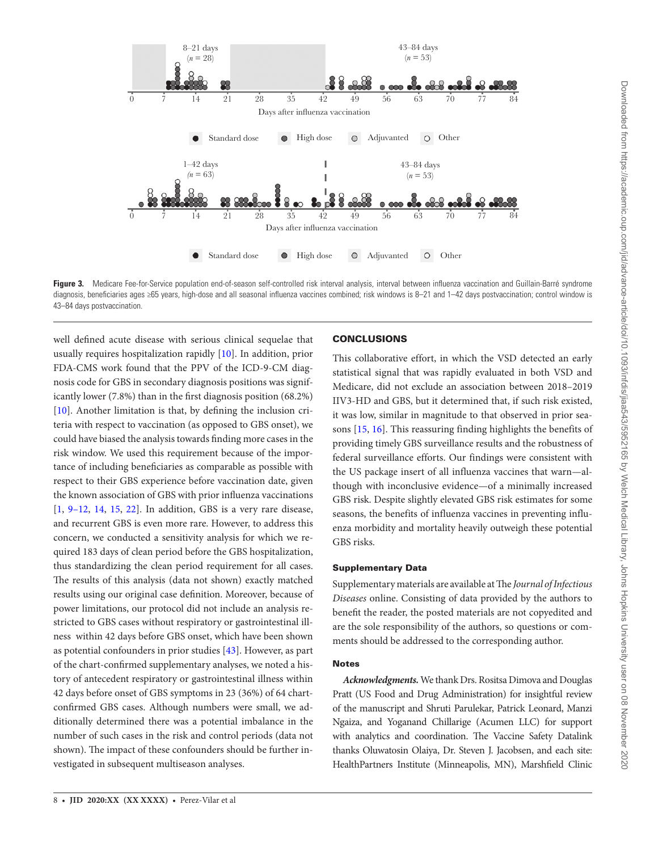

<span id="page-7-0"></span>Figure 3. Medicare Fee-for-Service population end-of-season self-controlled risk interval analysis, interval between influenza vaccination and Guillain-Barré syndrome diagnosis, beneficiaries ages ≥65 years, high-dose and all seasonal influenza vaccines combined; risk windows is 8–21 and 1–42 days postvaccination; control window is 43–84 days postvaccination.

well defined acute disease with serious clinical sequelae that usually requires hospitalization rapidly [[10\]](#page-8-5). In addition, prior FDA-CMS work found that the PPV of the ICD-9-CM diagnosis code for GBS in secondary diagnosis positions was significantly lower (7.8%) than in the first diagnosis position (68.2%) [\[10](#page-8-5)]. Another limitation is that, by defining the inclusion criteria with respect to vaccination (as opposed to GBS onset), we could have biased the analysis towards finding more cases in the risk window. We used this requirement because of the importance of including beneficiaries as comparable as possible with respect to their GBS experience before vaccination date, given the known association of GBS with prior influenza vaccinations [\[1,](#page-8-0) [9](#page-8-4)[–12](#page-8-12), [14,](#page-8-13) [15](#page-8-6), [22](#page-9-0)]. In addition, GBS is a very rare disease, and recurrent GBS is even more rare. However, to address this concern, we conducted a sensitivity analysis for which we required 183 days of clean period before the GBS hospitalization, thus standardizing the clean period requirement for all cases. The results of this analysis (data not shown) exactly matched results using our original case definition. Moreover, because of power limitations, our protocol did not include an analysis restricted to GBS cases without respiratory or gastrointestinal illness within 42 days before GBS onset, which have been shown as potential confounders in prior studies [[43](#page-9-21)]. However, as part of the chart-confirmed supplementary analyses, we noted a history of antecedent respiratory or gastrointestinal illness within 42 days before onset of GBS symptoms in 23 (36%) of 64 chartconfirmed GBS cases. Although numbers were small, we additionally determined there was a potential imbalance in the number of such cases in the risk and control periods (data not shown). The impact of these confounders should be further investigated in subsequent multiseason analyses.

## **CONCLUSIONS**

This collaborative effort, in which the VSD detected an early statistical signal that was rapidly evaluated in both VSD and Medicare, did not exclude an association between 2018–2019 IIV3-HD and GBS, but it determined that, if such risk existed, it was low, similar in magnitude to that observed in prior seasons [[15,](#page-8-6) [16](#page-8-10)]. This reassuring finding highlights the benefits of providing timely GBS surveillance results and the robustness of federal surveillance efforts. Our findings were consistent with the US package insert of all influenza vaccines that warn—although with inconclusive evidence—of a minimally increased GBS risk. Despite slightly elevated GBS risk estimates for some seasons, the benefits of influenza vaccines in preventing influenza morbidity and mortality heavily outweigh these potential GBS risks.

# Supplementary Data

Supplementary materials are available at The *Journal of Infectious Diseases* online. Consisting of data provided by the authors to benefit the reader, the posted materials are not copyedited and are the sole responsibility of the authors, so questions or comments should be addressed to the corresponding author.

#### **Notes**

*Acknowledgments.*We thank Drs. Rositsa Dimova and Douglas Pratt (US Food and Drug Administration) for insightful review of the manuscript and Shruti Parulekar, Patrick Leonard, Manzi Ngaiza, and Yoganand Chillarige (Acumen LLC) for support with analytics and coordination. The Vaccine Safety Datalink thanks Oluwatosin Olaiya, Dr. Steven J. Jacobsen, and each site: HealthPartners Institute (Minneapolis, MN), Marshfield Clinic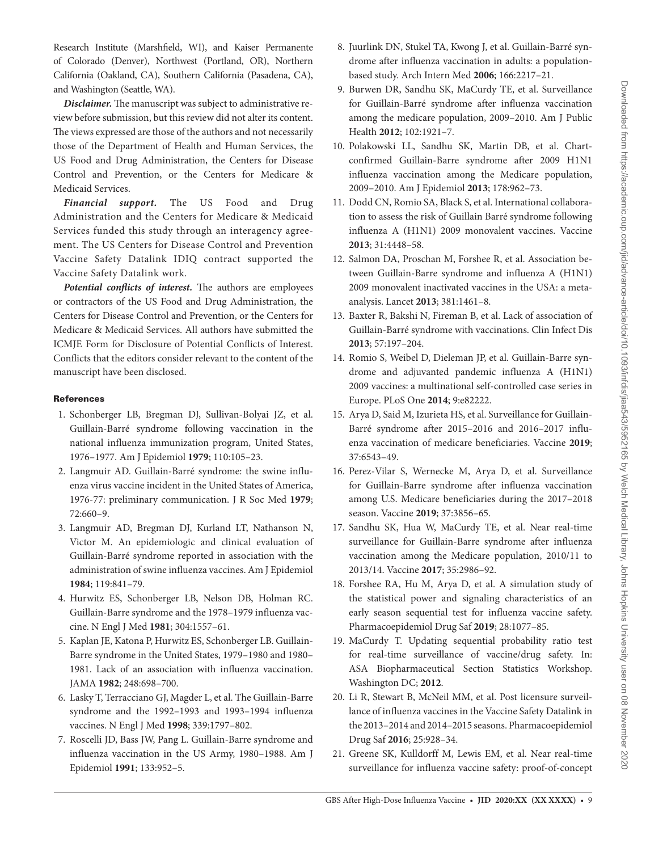Research Institute (Marshfield, WI), and Kaiser Permanente of Colorado (Denver), Northwest (Portland, OR), Northern California (Oakland, CA), Southern California (Pasadena, CA), and Washington (Seattle, WA).

*Disclaimer.* The manuscript was subject to administrative review before submission, but this review did not alter its content. The views expressed are those of the authors and not necessarily those of the Department of Health and Human Services, the US Food and Drug Administration, the Centers for Disease Control and Prevention, or the Centers for Medicare & Medicaid Services.

*Financial support.* The US Food and Drug Administration and the Centers for Medicare & Medicaid Services funded this study through an interagency agreement. The US Centers for Disease Control and Prevention Vaccine Safety Datalink IDIQ contract supported the Vaccine Safety Datalink work.

*Potential conflicts of interest.* The authors are employees or contractors of the US Food and Drug Administration, the Centers for Disease Control and Prevention, or the Centers for Medicare & Medicaid Services. All authors have submitted the ICMJE Form for Disclosure of Potential Conflicts of Interest. Conflicts that the editors consider relevant to the content of the manuscript have been disclosed.

# **References**

- <span id="page-8-0"></span>1. Schonberger LB, Bregman DJ, Sullivan-Bolyai JZ, et al. Guillain-Barré syndrome following vaccination in the national influenza immunization program, United States, 1976–1977. Am J Epidemiol **1979**; 110:105–23.
- 2. Langmuir AD. Guillain-Barré syndrome: the swine influenza virus vaccine incident in the United States of America, 1976-77: preliminary communication. J R Soc Med **1979**; 72:660–9.
- <span id="page-8-1"></span>3. Langmuir AD, Bregman DJ, Kurland LT, Nathanson N, Victor M. An epidemiologic and clinical evaluation of Guillain-Barré syndrome reported in association with the administration of swine influenza vaccines. Am J Epidemiol **1984**; 119:841–79.
- <span id="page-8-2"></span>4. Hurwitz ES, Schonberger LB, Nelson DB, Holman RC. Guillain-Barre syndrome and the 1978–1979 influenza vaccine. N Engl J Med **1981**; 304:1557–61.
- 5. Kaplan JE, Katona P, Hurwitz ES, Schonberger LB. Guillain-Barre syndrome in the United States, 1979–1980 and 1980– 1981. Lack of an association with influenza vaccination. JAMA **1982**; 248:698–700.
- 6. Lasky T, Terracciano GJ, Magder L, et al. The Guillain-Barre syndrome and the 1992–1993 and 1993–1994 influenza vaccines. N Engl J Med **1998**; 339:1797–802.
- 7. Roscelli JD, Bass JW, Pang L. Guillain-Barre syndrome and influenza vaccination in the US Army, 1980–1988. Am J Epidemiol **1991**; 133:952–5.
- 8. Juurlink DN, Stukel TA, Kwong J, et al. Guillain-Barré syndrome after influenza vaccination in adults: a populationbased study. Arch Intern Med **2006**; 166:2217–21.
- <span id="page-8-4"></span>9. Burwen DR, Sandhu SK, MaCurdy TE, et al. Surveillance for Guillain-Barré syndrome after influenza vaccination among the medicare population, 2009–2010. Am J Public Health **2012**; 102:1921–7.
- <span id="page-8-5"></span>10. Polakowski LL, Sandhu SK, Martin DB, et al. Chartconfirmed Guillain-Barre syndrome after 2009 H1N1 influenza vaccination among the Medicare population, 2009–2010. Am J Epidemiol **2013**; 178:962–73.
- <span id="page-8-11"></span>11. Dodd CN, Romio SA, Black S, et al. International collaboration to assess the risk of Guillain Barré syndrome following influenza A (H1N1) 2009 monovalent vaccines. Vaccine **2013**; 31:4448–58.
- <span id="page-8-12"></span>12. Salmon DA, Proschan M, Forshee R, et al. Association between Guillain-Barre syndrome and influenza A (H1N1) 2009 monovalent inactivated vaccines in the USA: a metaanalysis. Lancet **2013**; 381:1461–8.
- 13. Baxter R, Bakshi N, Fireman B, et al. Lack of association of Guillain-Barré syndrome with vaccinations. Clin Infect Dis **2013**; 57:197–204.
- <span id="page-8-13"></span>14. Romio S, Weibel D, Dieleman JP, et al. Guillain-Barre syndrome and adjuvanted pandemic influenza A (H1N1) 2009 vaccines: a multinational self-controlled case series in Europe. PLoS One **2014**; 9:e82222.
- <span id="page-8-6"></span>15. Arya D, Said M, Izurieta HS, et al. Surveillance for Guillain-Barré syndrome after 2015–2016 and 2016–2017 influenza vaccination of medicare beneficiaries. Vaccine **2019**; 37:6543–49.
- <span id="page-8-10"></span>16. Perez-Vilar S, Wernecke M, Arya D, et al. Surveillance for Guillain-Barre syndrome after influenza vaccination among U.S. Medicare beneficiaries during the 2017–2018 season. Vaccine **2019**; 37:3856–65.
- <span id="page-8-3"></span>17. Sandhu SK, Hua W, MaCurdy TE, et al. Near real-time surveillance for Guillain-Barre syndrome after influenza vaccination among the Medicare population, 2010/11 to 2013/14. Vaccine **2017**; 35:2986–92.
- 18. Forshee RA, Hu M, Arya D, et al. A simulation study of the statistical power and signaling characteristics of an early season sequential test for influenza vaccine safety. Pharmacoepidemiol Drug Saf **2019**; 28:1077–85.
- <span id="page-8-7"></span>19. MaCurdy T. Updating sequential probability ratio test for real-time surveillance of vaccine/drug safety. In: ASA Biopharmaceutical Section Statistics Workshop. Washington DC; **2012**.
- <span id="page-8-8"></span>20. Li R, Stewart B, McNeil MM, et al. Post licensure surveillance of influenza vaccines in the Vaccine Safety Datalink in the 2013–2014 and 2014–2015 seasons. Pharmacoepidemiol Drug Saf **2016**; 25:928–34.
- <span id="page-8-9"></span>21. Greene SK, Kulldorff M, Lewis EM, et al. Near real-time surveillance for influenza vaccine safety: proof-of-concept